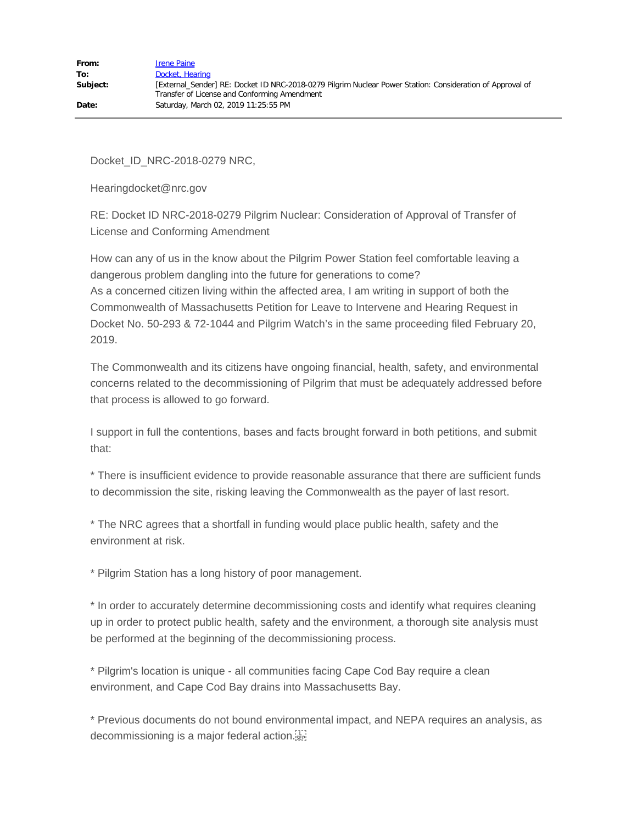Docket\_ID\_NRC-2018-0279 NRC,

Hearingdocket@nrc.gov

RE: Docket ID NRC-2018-0279 Pilgrim Nuclear: Consideration of Approval of Transfer of License and Conforming Amendment

How can any of us in the know about the Pilgrim Power Station feel comfortable leaving a dangerous problem dangling into the future for generations to come? As a concerned citizen living within the affected area, I am writing in support of both the Commonwealth of Massachusetts Petition for Leave to Intervene and Hearing Request in Docket No. 50-293 & 72-1044 and Pilgrim Watch's in the same proceeding filed February 20, 2019.

The Commonwealth and its citizens have ongoing financial, health, safety, and environmental concerns related to the decommissioning of Pilgrim that must be adequately addressed before that process is allowed to go forward.

I support in full the contentions, bases and facts brought forward in both petitions, and submit that:

\* There is insufficient evidence to provide reasonable assurance that there are sufficient funds to decommission the site, risking leaving the Commonwealth as the payer of last resort.

\* The NRC agrees that a shortfall in funding would place public health, safety and the environment at risk.

\* Pilgrim Station has a long history of poor management.

\* In order to accurately determine decommissioning costs and identify what requires cleaning up in order to protect public health, safety and the environment, a thorough site analysis must be performed at the beginning of the decommissioning process.

\* Pilgrim's location is unique - all communities facing Cape Cod Bay require a clean environment, and Cape Cod Bay drains into Massachusetts Bay.

\* Previous documents do not bound environmental impact, and NEPA requires an analysis, as decommissioning is a major federal action.